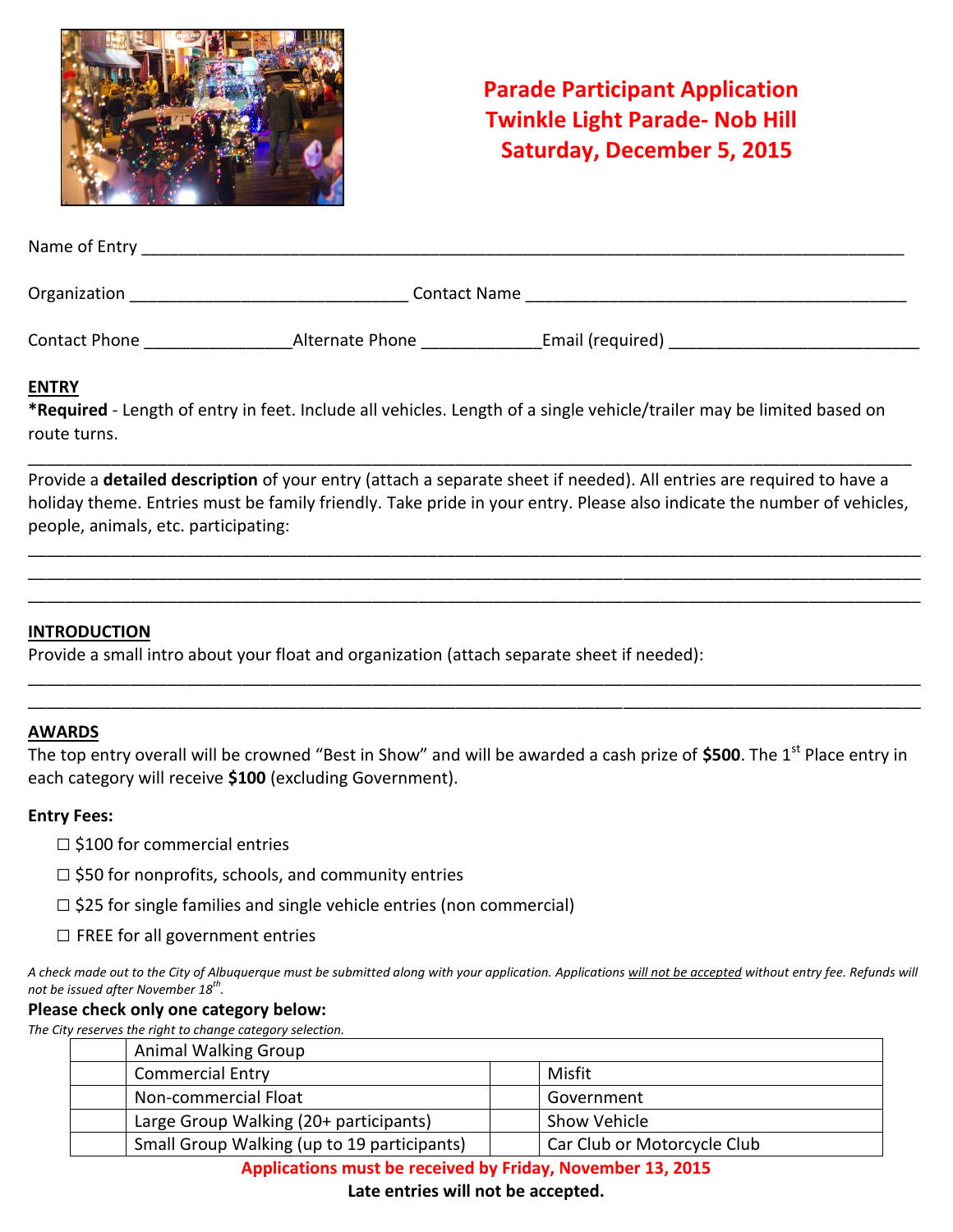

# **Parade Participant Application Twinkle Light Parade- Nob Hill Saturday, December 5, 2015**

| Name of Entry |                     |
|---------------|---------------------|
| Organization  | <b>Contact Name</b> |

Contact Phone \_\_\_\_\_\_\_\_\_\_\_\_\_\_\_\_\_\_\_\_\_\_\_\_\_\_\_\_\_\_\_Alternate Phone \_\_\_\_\_\_\_\_\_\_\_\_\_\_\_\_\_\_\_\_ Email (required) \_\_\_\_\_\_\_\_\_\_\_

#### **ENTRY**

**\*Required** - Length of entry in feet. Include all vehicles. Length of a single vehicle/trailer may be limited based on route turns.

Provide a **detailed description** of your entry (attach a separate sheet if needed). All entries are required to have a holiday theme. Entries must be family friendly. Take pride in your entry. Please also indicate the number of vehicles, people, animals, etc. participating:

\_\_\_\_\_\_\_\_\_\_\_\_\_\_\_\_\_\_\_\_\_\_\_\_\_\_\_\_\_\_\_\_\_\_\_\_\_\_\_\_\_\_\_\_\_\_\_\_\_\_\_\_\_\_\_\_\_\_\_\_\_\_\_\_\_\_\_\_\_\_\_\_\_\_\_\_\_\_\_\_\_\_\_\_\_\_\_\_\_\_\_\_\_\_\_\_ \_\_\_\_\_\_\_\_\_\_\_\_\_\_\_\_\_\_\_\_\_\_\_\_\_\_\_\_\_\_\_\_\_\_\_\_\_\_\_\_\_\_\_\_\_\_\_\_\_\_\_\_\_\_\_\_\_\_\_\_\_\_\_\_\_\_\_\_\_\_\_\_\_\_\_\_\_\_\_\_\_\_\_\_\_\_\_\_\_\_\_\_\_\_\_\_ \_\_\_\_\_\_\_\_\_\_\_\_\_\_\_\_\_\_\_\_\_\_\_\_\_\_\_\_\_\_\_\_\_\_\_\_\_\_\_\_\_\_\_\_\_\_\_\_\_\_\_\_\_\_\_\_\_\_\_\_\_\_\_\_\_\_\_\_\_\_\_\_\_\_\_\_\_\_\_\_\_\_\_\_\_\_\_\_\_\_\_\_\_\_\_\_

\_\_\_\_\_\_\_\_\_\_\_\_\_\_\_\_\_\_\_\_\_\_\_\_\_\_\_\_\_\_\_\_\_\_\_\_\_\_\_\_\_\_\_\_\_\_\_\_\_\_\_\_\_\_\_\_\_\_\_\_\_\_\_\_\_\_\_\_\_\_\_\_\_\_\_\_\_\_\_\_\_\_\_\_\_\_\_\_\_\_\_\_\_\_\_

#### **INTRODUCTION**

Provide a small intro about your float and organization (attach separate sheet if needed):

#### **AWARDS**

The top entry overall will be crowned "Best in Show" and will be awarded a cash prize of \$500. The 1<sup>st</sup> Place entry in each category will receive **\$100** (excluding Government).

\_\_\_\_\_\_\_\_\_\_\_\_\_\_\_\_\_\_\_\_\_\_\_\_\_\_\_\_\_\_\_\_\_\_\_\_\_\_\_\_\_\_\_\_\_\_\_\_\_\_\_\_\_\_\_\_\_\_\_\_\_\_\_\_\_\_\_\_\_\_\_\_\_\_\_\_\_\_\_\_\_\_\_\_\_\_\_\_\_\_\_\_\_\_\_\_ \_\_\_\_\_\_\_\_\_\_\_\_\_\_\_\_\_\_\_\_\_\_\_\_\_\_\_\_\_\_\_\_\_\_\_\_\_\_\_\_\_\_\_\_\_\_\_\_\_\_\_\_\_\_\_\_\_\_\_\_\_\_\_\_\_\_\_\_\_\_\_\_\_\_\_\_\_\_\_\_\_\_\_\_\_\_\_\_\_\_\_\_\_\_\_\_

#### **Entry Fees:**

- $\Box$  \$100 for commercial entries
- $\Box$  \$50 for nonprofits, schools, and community entries
- $\Box$  \$25 for single families and single vehicle entries (non commercial)
- $\Box$  FREE for all government entries

*A check made out to the City of Albuquerque must be submitted along with your application. Applications will not be accepted without entry fee. Refunds will not be issued after November 18 th .* 

#### **Please check only one category below:**

*The City reserves the right to change category selection.* 

| <b>Animal Walking Group</b>                 |                             |
|---------------------------------------------|-----------------------------|
| <b>Commercial Entry</b>                     | Misfit                      |
| Non-commercial Float                        | Government                  |
| Large Group Walking (20+ participants)      | <b>Show Vehicle</b>         |
| Small Group Walking (up to 19 participants) | Car Club or Motorcycle Club |

**Applications must be received by Friday, November 13, 2015** 

**Late entries will not be accepted.**